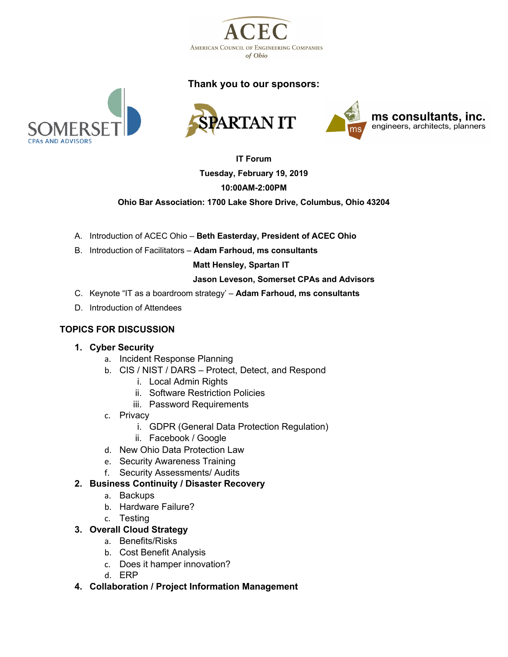

# **Thank you to our sponsors:**









# **IT Forum Tuesday, February 19, 2019 10:00AM-2:00PM**

**Ohio Bar Association: 1700 Lake Shore Drive, Columbus, Ohio 43204**

- A. Introduction of ACEC Ohio **Beth Easterday, President of ACEC Ohio**
- B. Introduction of Facilitators **Adam Farhoud, ms consultants**

 **Matt Hensley, Spartan IT**

#### **Jason Leveson, Somerset CPAs and Advisors**

- C. Keynote "IT as a boardroom strategy' **Adam Farhoud, ms consultants**
- D. Introduction of Attendees

## **TOPICS FOR DISCUSSION**

## **1. Cyber Security**

- a. Incident Response Planning
- b. CIS / NIST / DARS Protect, Detect, and Respond
	- i. Local Admin Rights
	- ii. Software Restriction Policies
	- iii. Password Requirements
- c. Privacy
	- i. GDPR (General Data Protection Regulation)
	- ii. Facebook / Google
- d. New Ohio Data Protection Law
- e. Security Awareness Training
- f. Security Assessments/ Audits

## **2. Business Continuity / Disaster Recovery**

- a. Backups
- b. Hardware Failure?
- c. Testing

## **3. Overall Cloud Strategy**

- a. Benefits/Risks
- b. Cost Benefit Analysis
- c. Does it hamper innovation?
- d. ERP
- **4. Collaboration / Project Information Management**